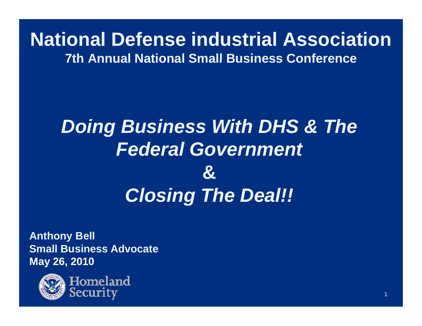### **National Defense industrial Association7th Annual National Small Business Conference**

## *Doing Business With DHS & The Federal Government* **&***Closing The Deal!!*

**Anthony Bell Small Business AdvocateMa y 26, 2010 y ,**



Homeland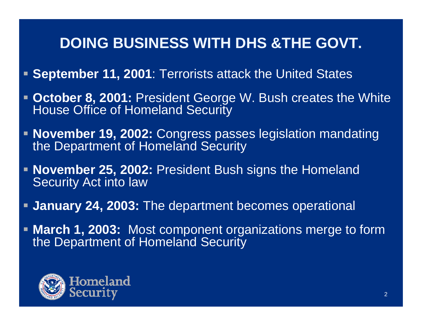- **September 11, 2001**: Terrorists attack the United States
- $\blacksquare$  **October 8, 2001:** President George W. Bush creates the White House Office of Homeland Security
- **November 19, 2002:** Congress passes legislation mandating the Department of Homeland Security
- **November 25, 2002:** President Bush signs the Homeland Security Act into law
- **January 24, 2003:** The department becomes operational
- **March 1, 2003:** Most component organizations merge to form the Department of Homeland Security

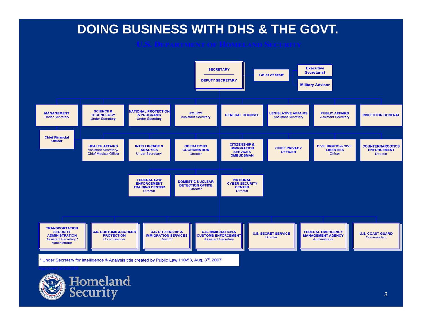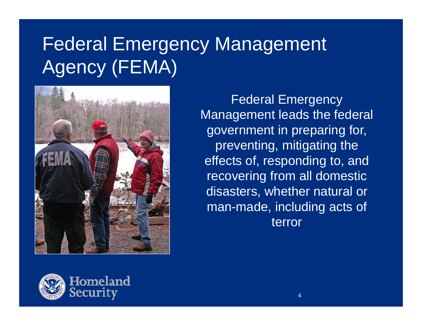## Federal Emergency Management Agency (FEMA)



Federal Emergency Management leads the federal government in preparing for, preventing, mitigating the effects of, responding to, and recovering from all domestic disasters, whether natural or man-made, including acts of terror

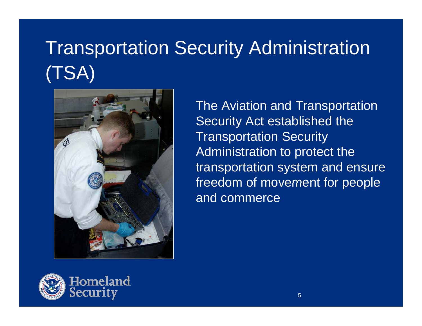## Transportation Security Administration (TSA)



The Aviation and Transportation Security Act established the Transportation Security Administration to protect the transportation system and ensure freedom of movement for people and commerce

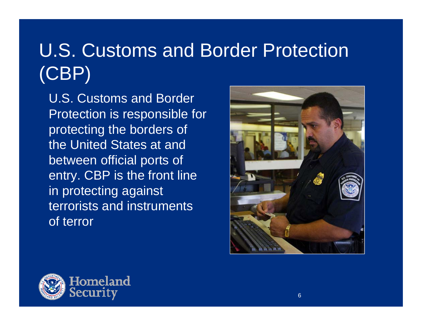## U.S. Customs and Border Protection (CBP)

U.S. Customs and Border Protection is responsible for protecting the borders of the United States at and between official ports of entry. CBP is the front line in protecting against terrorists and instruments of terror



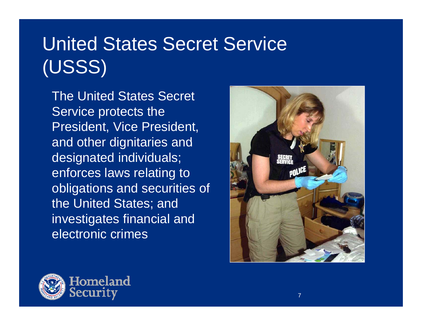## United States Secret Service (USSS)

The United States Secret Service protects the President, Vice President, and other dignitaries and designated individuals; enforces laws relating to obligations and securities o f the United States; and investi gates financial and electronic crimes



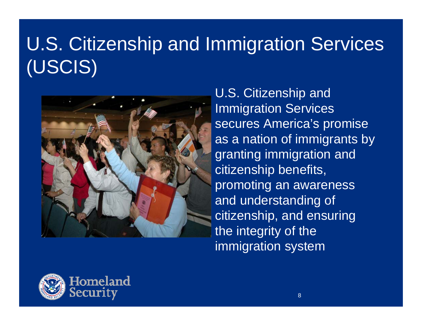## U.S. Citizenship and Immigration Services (USCIS)



U.S. Citizenship and Immigration Services secures America's promise as <sup>a</sup> nation of immigrants by granting immigration and citizenship benefits, promoting an awareness and understanding of citizenship, and ensuring the integrity of the immigration system

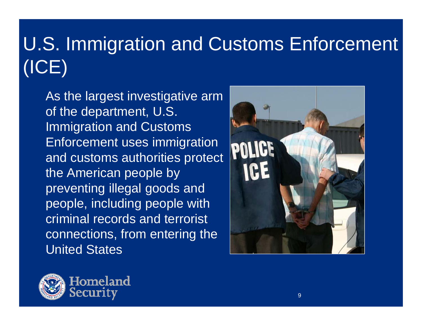## U.S. Immigration and Customs Enforcement (ICE)

As the largest investigative arm of the department, U.S. Immigration and Customs Enforcement uses immigration and customs authorities protect the American people by preventing illegal goods and people, including people with criminal records and terrorist connections, from entering the United States



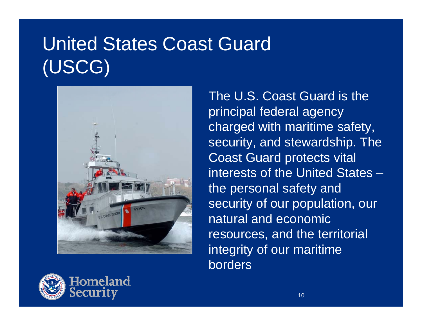## United States Coast Guard (USCG)



The U.S. Coast Guard is the principal federal agency charged with maritime safety, security, and stewardship. The Coast Guard protects vital interests of the United States –the personal sa fety and security of our population, our natural and economic resources, and the territorial integrity of our maritime borders

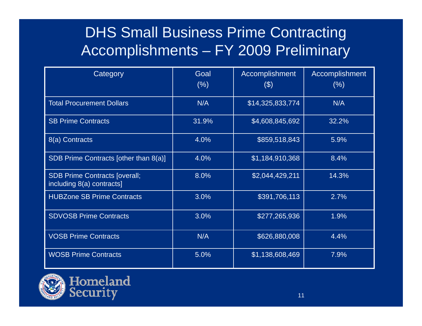### DHS Small Business Prime Contracting Accomplishments – FY 2009 Preliminary

| Category                                                          | Goal<br>(% ) | Accomplishment<br>$(\$)$ | Accomplishment<br>$(\%)$ |  |
|-------------------------------------------------------------------|--------------|--------------------------|--------------------------|--|
| <b>Total Procurement Dollars</b>                                  | N/A          | \$14,325,833,774         | N/A                      |  |
| <b>SB Prime Contracts</b>                                         | 31.9%        | \$4,608,845,692          | 32.2%                    |  |
| 8(a) Contracts                                                    | 4.0%         | \$859,518,843            | 5.9%                     |  |
| SDB Prime Contracts [other than 8(a)]                             | 4.0%         | \$1,184,910,368          | 8.4%                     |  |
| <b>SDB Prime Contracts [overall;</b><br>including 8(a) contracts] | 8.0%         | \$2,044,429,211          | 14.3%                    |  |
| <b>HUBZone SB Prime Contracts</b>                                 | 3.0%         | \$391,706,113            | 2.7%                     |  |
| <b>SDVOSB Prime Contracts</b>                                     | 3.0%         | \$277,265,936            | 1.9%                     |  |
| <b>VOSB Prime Contracts</b>                                       | N/A          | \$626,880,008            | 4.4%                     |  |
| <b>WOSB Prime Contracts</b>                                       | 5.0%         | \$1,138,608,469          | 7.9%                     |  |

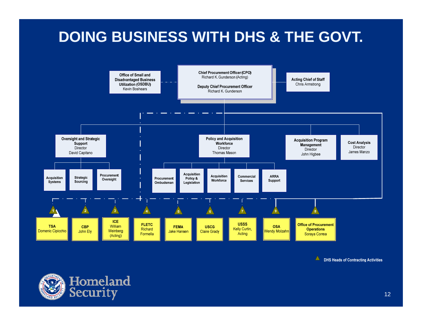

A DHS Heads of Contracting Activities

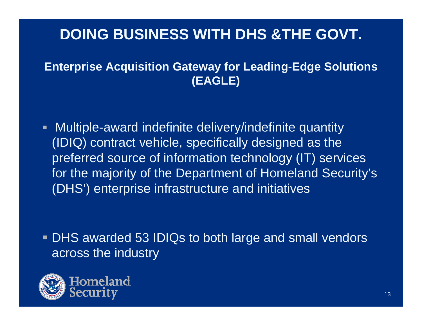#### **Enterprise Acquisition Gateway for Leading-Edge Solutions (EAGLE)**

 $\blacksquare$  Multiple-award indefinite delivery/indefinite quantity  $(IDIQ)$  contract vehicle, specifically designed as the preferred source of information technology (IT) services for the majority of the Department of Homeland Security's (DHS') enterprise infrastructure and initiatives

 DHS awarded 53 IDIQs to both large and small vendors across the industry

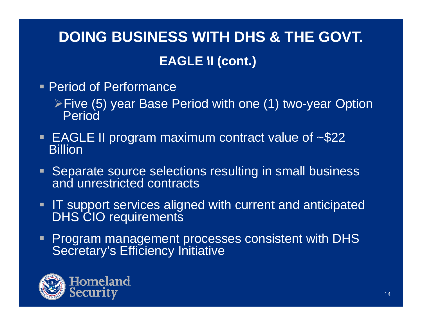### **DOING BUSINESS WITH DHS & THE GOVT. EAGLE II (cont ) (cont.)**

- Period of Performance
	- ≻Five (5) year Base Period with one (1) two-year Option Period
- **EAGLE II program maximum contract value of**  $~$ **-\$22 Billion**
- **Separate source selections resulting in small business** and unrestricted contracts
- **IT** support services aligned with current and anticipated DHS CIO requirements
- П Program management processes consistent with DHS Secretary's Efficiency Initiative

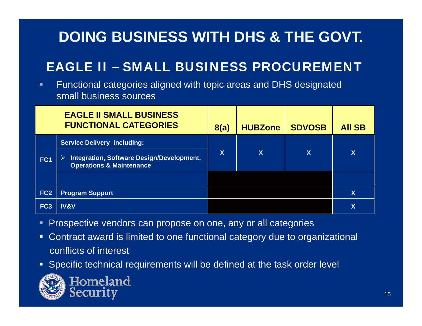### EAGLE II – SMALL BUSINESS PROCUREMENT

п Functional categories aligned with topic areas and DHS designated small business sources

|                 | <b>EAGLE II SMALL BUSINESS</b><br><b>FUNCTIONAL CATEGORIES</b>                   | 8(a) | <b>HUBZone</b> | <b>SDVOSB</b> | <b>All SB</b>           |
|-----------------|----------------------------------------------------------------------------------|------|----------------|---------------|-------------------------|
| FC1             | <b>Service Delivery including:</b>                                               |      |                | X             | $\overline{\mathsf{X}}$ |
|                 | Integration, Software Design/Development,<br><b>Operations &amp; Maintenance</b> | χ    | X              |               |                         |
|                 |                                                                                  |      |                |               |                         |
| FC <sub>2</sub> | <b>Program Support</b>                                                           |      |                |               | $\overline{\mathsf{X}}$ |
| FC <sub>3</sub> | <b>IV&amp;V</b>                                                                  |      |                |               | X                       |

- Prospective vendors can propose on one, any or all categories
- Contract award is limited to one functional category due to organizational conflicts of interest
- Specific technical requirements will be defined at the task order level

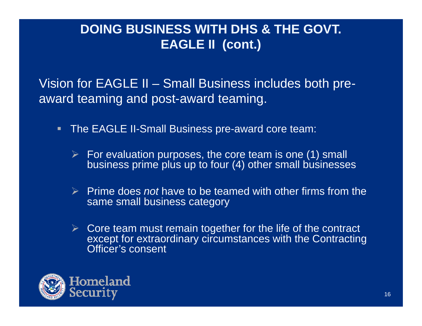#### **DOING BUSINESS WITH DHS & THE GOVT. EAGLE II (cont.)**

Vision for EAGLE II - Small Business includes both preaward teaming and post-award teaming.

- $\blacksquare$  The EAGLE II-Small Business pre-award core team:
	- $\triangleright$  For evaluation purposes, the core team is one (1) small business prime plus up to four (4) other small businesses
	- Prime does *not* have to be teamed with other firms from the same small business category
	- $\triangleright$  Core team must remain together for the life of the contract except for extraordinary circumstances with the Contracting Officer's consent

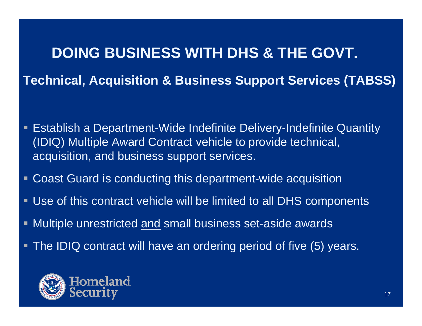## **DOING BUSINESS WITH DHS & THE GOVT. Technical, Acquisition & Business Support Services (TABSS)**

- П Establish a Department-Wide Indefinite Delivery-Indefinite Quantity (IDIQ) Multiple Award Contract vehicle to provide technical, acquisition, and business support services.
- Coast Guard is conducting this department-wide acquisition
- Use of this contract vehicle will be limited to all DHS components
- τ ■ Multiple unrestricted <u>and</u> small business set-aside awards
- The IDIQ contract will have an ordering period of five (5) years.

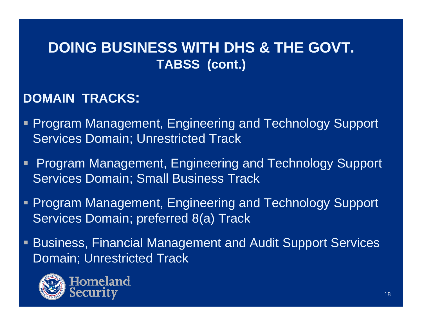#### **DOING BUSINESS WITH DHS & THE GOVT. TABSS ( t ) (con t.)**

#### **DOMAIN TRACKS TRACKS:**

- П Program Management, Engineering and Technology Support Services Domain; Unrestricted Track
- П Program Management, Engineering and Technology Support Services Domain; Small Business Track
- Ξ Program Management, Engineering and Technology Support Services Domain; preferred 8(a) Track
- $\blacksquare$  Business, Financial Management and Audit Support Services Domain; Unrestricted Track



Homeland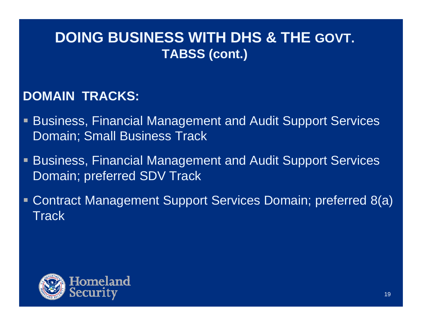#### **DOING BUSINESS WITH DHS & THE GOVT. TABSS ( ) cont.**

#### **DOMAIN TRACKS:**

- П Business, Financial Management and Audit Support Services Domain; Small Business Track
- Ŧ Business, Financial Management and Audit Support Services Domain; preferred SDV Track
- $\blacksquare$  Contract Management Support Services Domain; preferred 8(a) **Track**

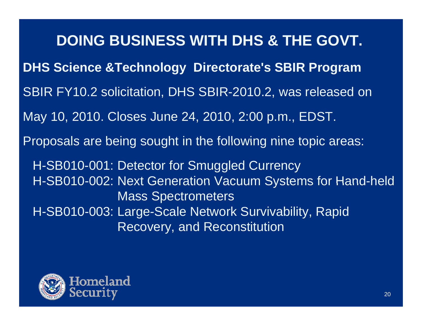**DOING BUSINESS WITH DHS & THE GOVT. DHS Science &Technology Directorate's SBIR Program**  SBIR FY10.2 solicitation, DHS SBIR-2010.2, was released on May 10, 2010. Closes June 24, 2010, 2:00 p.m., EDST. Proposals are being sought in the following nine topic areas: H-SB010-001: Detector for Smuggled Currency H-SB010-002: Next Generation Vacuum Systems for Hand-held Mass Spectrometers H-SB010-003: Large-Scale Network Survivability, Rapid Recovery, and Reconstitution

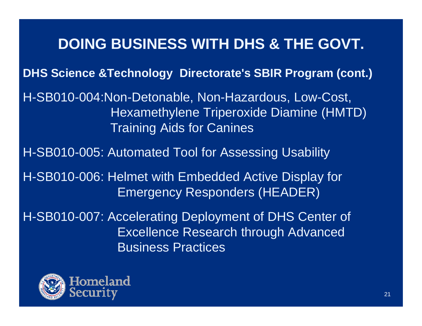**DHS Science &Technology Directorate's SBIR Program (cont.)**

H-SB010-004:Non-Detonable, Non-Hazardous, Low-Cost, Hexamethylene Triperoxide Diamine (HMTD) Training Aids for Canines

H-SB010-005: Automated Tool for Assessing Usability

H-SB010-006: Helmet with Embedded Active Display for Emergency Responders (HEADER)

H-SB010-007: Accelerating Deployment of DHS Center of Excellence Research through Advanced Business Practices

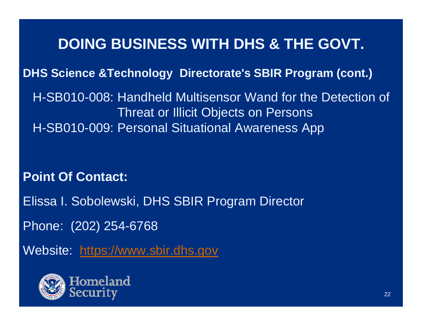**DHS Science &Technology Directorate's SBIR Program (cont.)**

H-SB010-008: Handheld Multisensor Wand for the Detection of Threat or Illicit Objects on Persons H-SB010-009: Personal Situational Awareness App

**Point Of Contact:**

Elissa I. Sobolewski, DHS SBIR Program Director

Phone: (202) 254 -6768

Website: https://www.sbir.dhs.gov

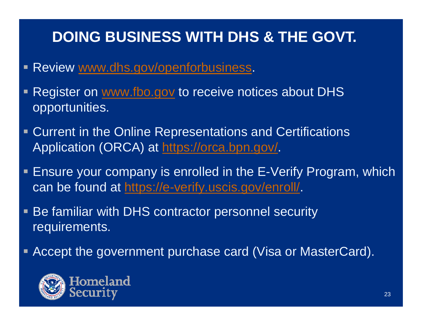- Review <u>www.dhs.gov/openforbusiness</u>.
- Ŧ Register on www.fbo.gov to receive notices about DHS opportunities.
- $\blacksquare$  Current in the Online Representations and Certifications Application (ORCA) at <u>https://orca.bpn.gov/</u>.
- П Ensure your company is enrolled in the E-Verify Program, which can be found at https://e-verify.uscis.gov/enroll/
- $\blacksquare$  Be familiar with DHS contractor personnel security requirements.
- П Accept the government purchase card (Visa or MasterCard).

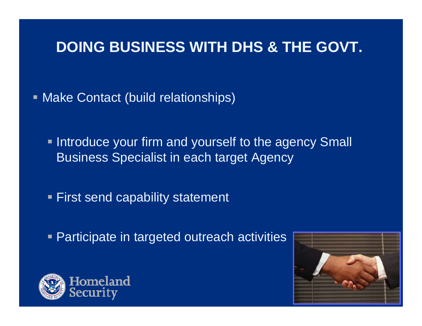Make Contact (build relationships)

**Introduce your firm and yourself to the agency Small** Business Specialist in each target Agency

**First send capability statement** 

**Participate in targeted outreach activities** 



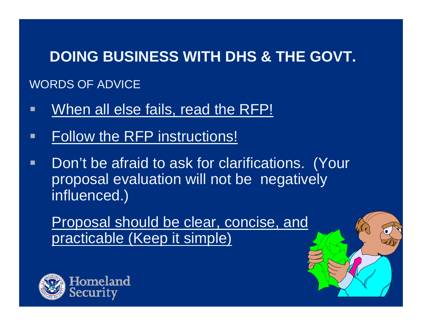## **DOING BUSINESS WITH DHS & THE GOVT.** WORDS OF ADVICE

- $\blacksquare$ When all else fails, read the RFP!
- П Follow the RFP instructions!
- $\blacksquare$  Don't be afraid to ask for clarifications. (Your proposal evaluation will not be negatively influenced.)

Proposal should be clear, concise, and practicable (Keep it simple)



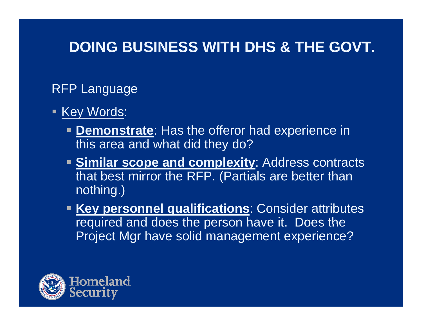#### RFP Language

- <u>- Key Words</u>:
	- **Demonstrate**: Has the offeror had experience in this area and what did they do?
	- **Similar scope and complexity: Address contracts** that best mirror the RFP. (Partials are better than nothing.)
	- **Key personnel qualifications:** Consider attributes required and does the person have it. Does the Project Mgr have solid management experience?

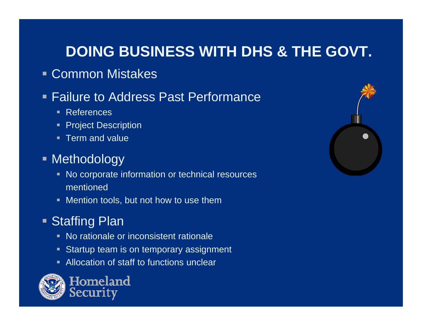#### Common Mistakes

#### **Failure to Address Past Performance**

- References
- **Project Description**
- **Term and value**

#### **- Methodology**

- No corporate information or technical resources mentioned
- Mention tools, but not how to use them

#### **Staffing Plan**

- No rationale or inconsistent rationale
- **Startup team is on temporary assignment**
- **Allocation of staff to functions unclear e**



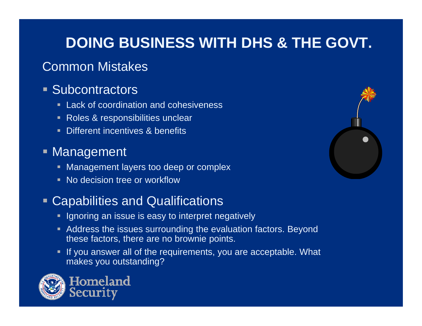#### Common Mistakes

#### **Subcontractors**

- **Lack of coordination and cohesiveness**
- Roles & responsibilities unclear
- **Different incentives & benefits**

#### **• Management**

- **Management layers too deep or complex**
- No decision tree or workflow

#### Capabilities and Qualifications

- **Iourrich and incore is easy to interpret negatively I**
- Address the issues surrounding the evaluation factors. Beyond these factors, there are no brownie points.
- If you answer all of the requirements, you are acceptable. What makes you outstanding?



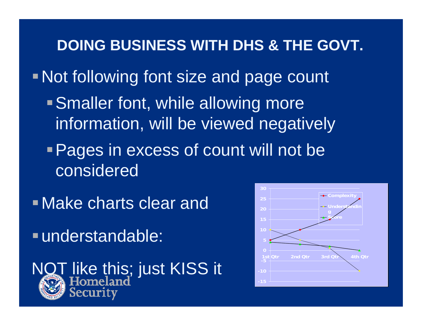**DOING BUSINESS WITH DHS & THE GOVT.** Not following font size and page count • Smaller font, while allowing more information, will be viewed negatively **Pages in excess of count will not be** considered

Make charts clear and

understandable:



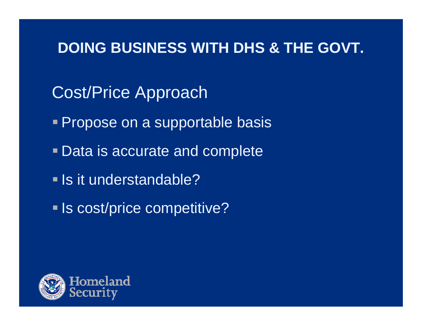- Cost/Price Approach
- **Propose on a supportable basis**
- Data is accurate and complete
- **Is it understandable?**
- **Is cost/price competitive?**

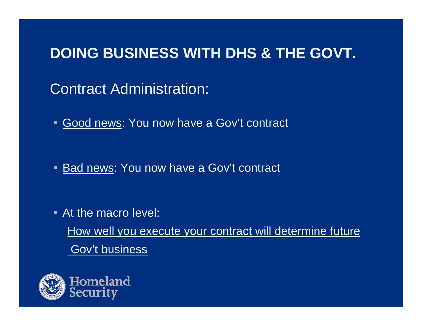Contract Administration:

Good news: You now have a Gov't contract

Bad news: You now have a Gov't contract

**At the macro level:** How well you execute your contract will determine future **Gov't business** 

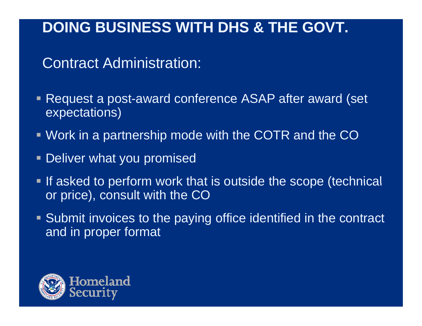Contract Administration:

- • Request a post-award conference ASAP after award (set expectations)
- Work in a partnership mode with the COTR and the CO
- Deliver what you promised
- Ξ If asked to perform work that is outside the scope (technical or price), consult with the CO
- Submit invoices to the paying office identified in the contract and in proper format

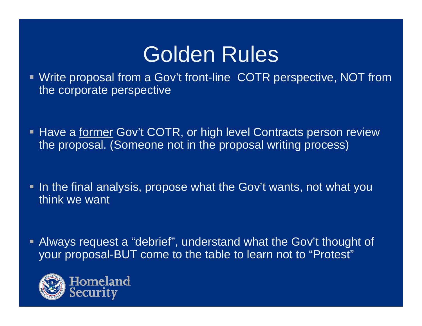## Golden Rules

 Write proposal from a Gov't front-line COTR perspective, NOT from the corporate perspective

- Have a former Gov't COTR, or high level Contracts person review the proposal. (Someone not in the proposal writing process)
- In the final analysis, propose what the Gov't wants, not what you think we want
- Always request a "debrief", understand what the Gov't thought of your proposal-BUT come to the table to learn not to "Protest"

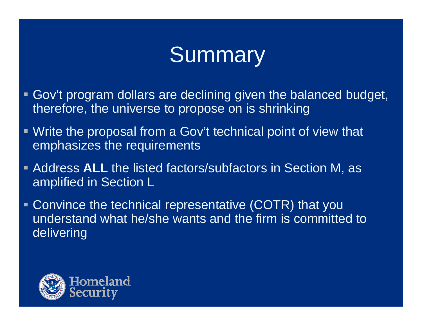## **Summary**

- Gov't program dollars are declining given the balanced budget, therefore, the universe to propose on is shrinking
- Write the proposal from a Gov't technical point of view that emphasizes the requirements
- Address **ALL** the listed factors/subfactors in Section M, as amplified in Section L
- **Convince the technical representative (COTR) that you** understand what he/she wants and the firm is committed to delivering